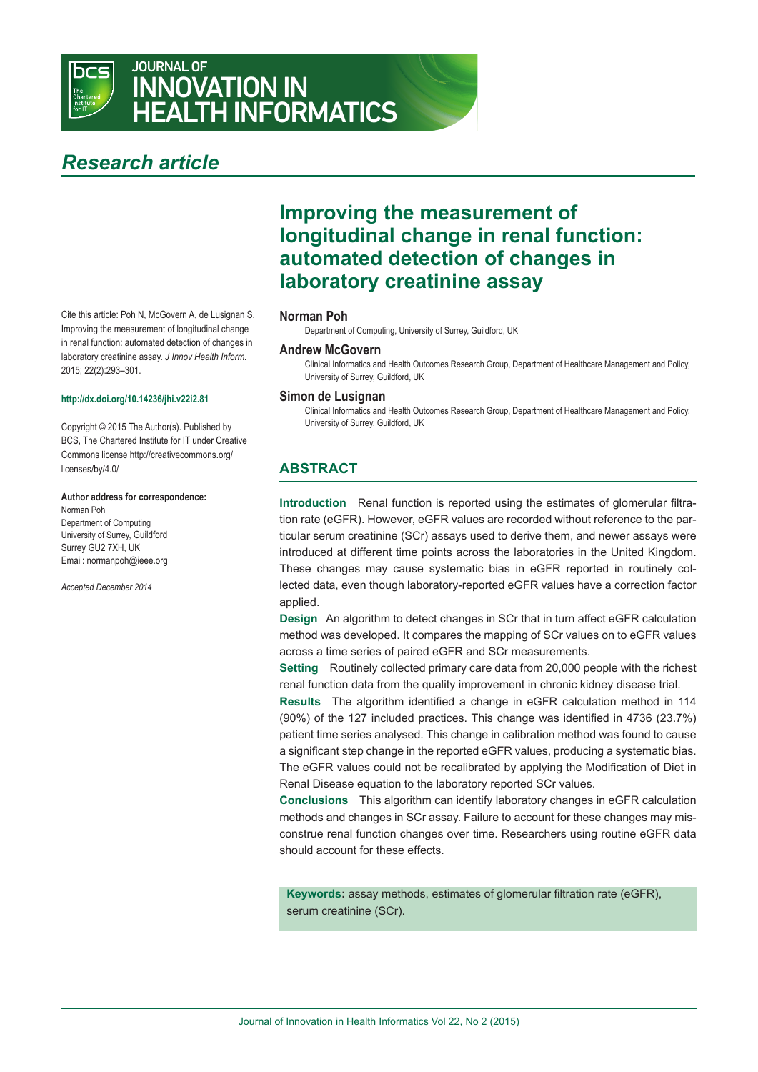

# JOURNAL OF INNOVATION IN HEALTH INFORMATICS

# *Research article*

Cite this article: Poh N, McGovern A, de Lusignan S. Improving the measurement of longitudinal change in renal function: automated detection of changes in laboratory creatinine assay. *J Innov Health Inform.* 2015; 22(2):293–301.

#### **http://dx.doi.org/10.14236/jhi.v22i2.81**

Copyright © 2015 The Author(s). Published by BCS, The Chartered Institute for IT under Creative Commons license http://creativecommons.org/ licenses/by/4.0/

#### **Author address for correspondence:**

Norman Poh Department of Computing University of Surrey, Guildford Surrey GU2 7XH, UK Email: normanpoh@ieee.org

*Accepted December 2014*

# **Improving the measurement of longitudinal change in renal function: automated detection of changes in laboratory creatinine assay**

#### **Norman Poh**

Department of Computing, University of Surrey, Guildford, UK

## **Andrew McGovern**

Clinical Informatics and Health Outcomes Research group, Department of Healthcare Management and Policy, University of Surrey, Guildford, UK

#### **Simon de Lusignan**

Clinical Informatics and Health Outcomes Research group, Department of Healthcare Management and Policy, University of Surrey, Guildford, UK

## **ABSTRACT**

**Introduction** Renal function is reported using the estimates of glomerular filtration rate (eGFR). However, eGFR values are recorded without reference to the particular serum creatinine (SCr) assays used to derive them, and newer assays were introduced at different time points across the laboratories in the United Kingdom. These changes may cause systematic bias in eGFR reported in routinely collected data, even though laboratory-reported eGFR values have a correction factor applied.

**Design** An algorithm to detect changes in SCr that in turn affect eGFR calculation method was developed. It compares the mapping of SCr values on to eGFR values across a time series of paired eGFR and SCr measurements.

**Setting** Routinely collected primary care data from 20,000 people with the richest renal function data from the quality improvement in chronic kidney disease trial.

**Results** The algorithm identified a change in eGFR calculation method in 114 (90%) of the 127 included practices. This change was identified in 4736 (23.7%) patient time series analysed. This change in calibration method was found to cause a significant step change in the reported eGFR values, producing a systematic bias. The eGFR values could not be recalibrated by applying the Modification of Diet in Renal Disease equation to the laboratory reported SCr values.

**Conclusions** This algorithm can identify laboratory changes in eGFR calculation methods and changes in SCr assay. Failure to account for these changes may misconstrue renal function changes over time. Researchers using routine eGFR data should account for these effects.

**Keywords:** assay methods, estimates of glomerular filtration rate (eGFR), serum creatinine (SCr).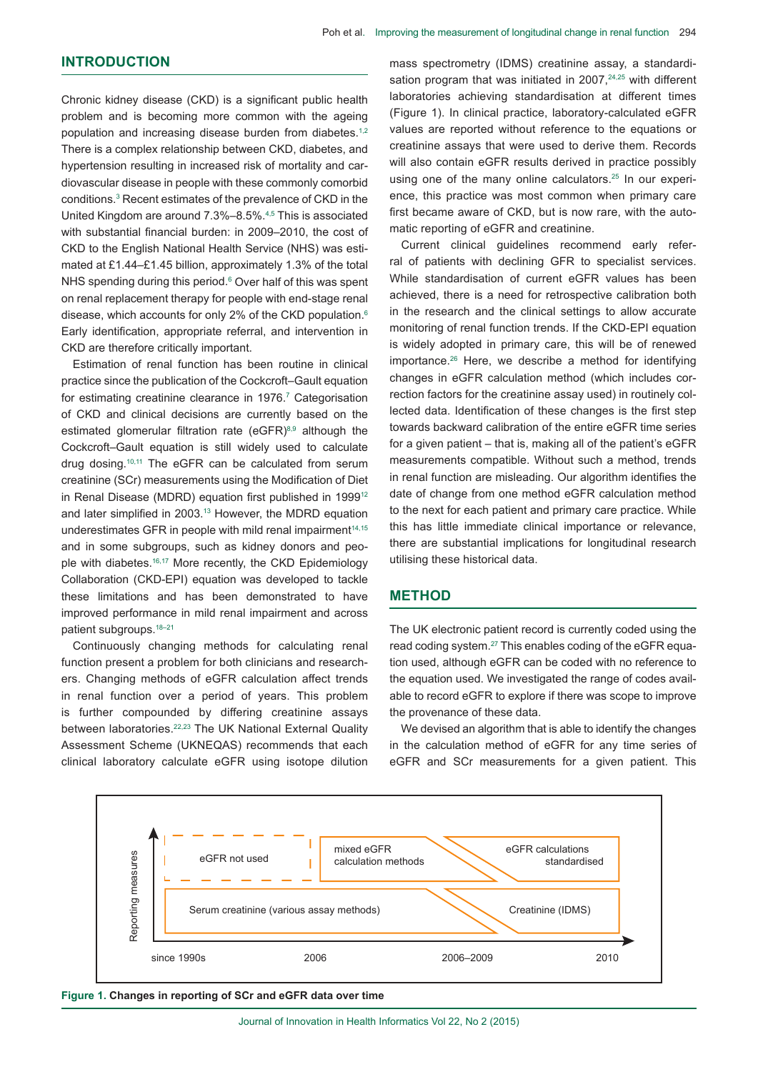## **INTRODUCTION**

Chronic kidney disease (CKD) is a significant public health problem and is becoming more common with the ageing population and increasing disease burden from diabetes.<sup>1,2</sup> There is a complex relationship between CKD, diabetes, and hypertension resulting in increased risk of mortality and cardiovascular disease in people with these commonly comorbid conditions.<sup>3</sup> Recent estimates of the prevalence of CKD in the United Kingdom are around 7.3%–8.5%.4,5 This is associated with substantial financial burden: in 2009–2010, the cost of CKD to the English National Health Service (NHS) was estimated at £1.44–£1.45 billion, approximately 1.3% of the total NHS spending during this period.<sup>6</sup> Over half of this was spent on renal replacement therapy for people with end-stage renal disease, which accounts for only 2% of the CKD population.6 Early identification, appropriate referral, and intervention in CKD are therefore critically important.

Estimation of renal function has been routine in clinical practice since the publication of the Cockcroft–Gault equation for estimating creatinine clearance in 1976.<sup>7</sup> Categorisation of CKD and clinical decisions are currently based on the estimated glomerular filtration rate (eGFR) $8,9$  although the Cockcroft–Gault equation is still widely used to calculate drug dosing.10,11 The eGFR can be calculated from serum creatinine (SCr) measurements using the Modification of Diet in Renal Disease (MDRD) equation first published in 1999<sup>12</sup> and later simplified in 2003.13 However, the MDRD equation underestimates GFR in people with mild renal impairment<sup>14,15</sup> and in some subgroups, such as kidney donors and people with diabetes.<sup>16,17</sup> More recently, the CKD Epidemiology Collaboration (CKD-EPI) equation was developed to tackle these limitations and has been demonstrated to have improved performance in mild renal impairment and across patient subgroups.18–21

Continuously changing methods for calculating renal function present a problem for both clinicians and researchers. Changing methods of eGFR calculation affect trends in renal function over a period of years. This problem is further compounded by differing creatinine assays between laboratories.22,23 The UK National External Quality Assessment Scheme (UKNEQAS) recommends that each clinical laboratory calculate eGFR using isotope dilution mass spectrometry (IDMS) creatinine assay, a standardisation program that was initiated in  $2007$ ,  $24.25$  with different laboratories achieving standardisation at different times (Figure 1). In clinical practice, laboratory-calculated eGFR values are reported without reference to the equations or creatinine assays that were used to derive them. Records will also contain eGFR results derived in practice possibly using one of the many online calculators.<sup>25</sup> In our experience, this practice was most common when primary care first became aware of CKD, but is now rare, with the automatic reporting of eGFR and creatinine.

Current clinical guidelines recommend early referral of patients with declining GFR to specialist services. While standardisation of current eGFR values has been achieved, there is a need for retrospective calibration both in the research and the clinical settings to allow accurate monitoring of renal function trends. If the CKD-EPI equation is widely adopted in primary care, this will be of renewed importance.<sup>26</sup> Here, we describe a method for identifying changes in eGFR calculation method (which includes correction factors for the creatinine assay used) in routinely collected data. Identification of these changes is the first step towards backward calibration of the entire eGFR time series for a given patient – that is, making all of the patient's eGFR measurements compatible. Without such a method, trends in renal function are misleading. Our algorithm identifies the date of change from one method eGFR calculation method to the next for each patient and primary care practice. While this has little immediate clinical importance or relevance, there are substantial implications for longitudinal research utilising these historical data.

### **METHOD**

The UK electronic patient record is currently coded using the read coding system.27 This enables coding of the eGFR equation used, although eGFR can be coded with no reference to the equation used. We investigated the range of codes available to record eGFR to explore if there was scope to improve the provenance of these data.

We devised an algorithm that is able to identify the changes in the calculation method of eGFR for any time series of eGFR and SCr measurements for a given patient. This



**Figure 1. Changes in reporting of SCr and eGFR data over time**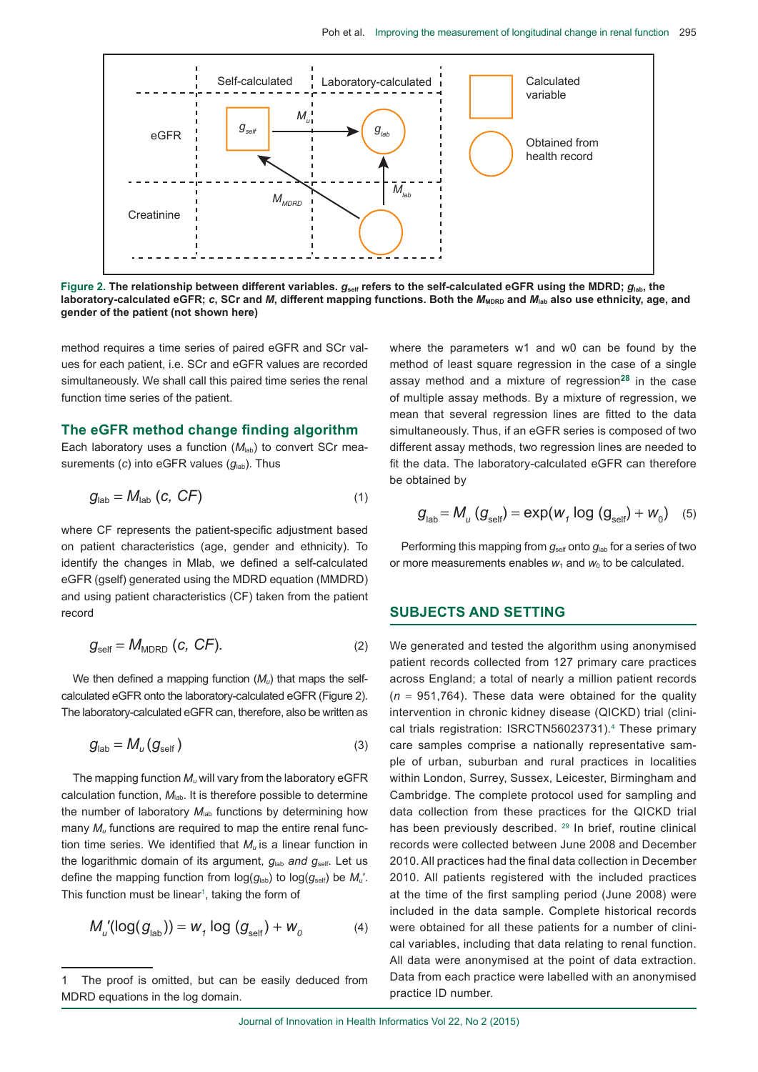

Figure 2. The relationship between different variables.  $q_{\text{self}}$  refers to the self-calculated eGFR using the MDRD;  $q_{\text{lab}}$ , the laboratory-calculated eGFR; c, SCr and *M*, different mapping functions. Both the  $M_{\text{MDRD}}$  and  $M_{\text{lab}}$  also use ethnicity, age, and **gender of the patient (not shown here)**

method requires a time series of paired eGFR and SCr values for each patient, i.e. SCr and eGFR values are recorded simultaneously. We shall call this paired time series the renal function time series of the patient.

#### **The eGFR method change finding algorithm**

Each laboratory uses a function ( $M<sub>lab</sub>$ ) to convert SCr measurements (*c*) into eGFR values ( $g_{lab}$ ). Thus

$$
g_{\text{lab}} = M_{\text{lab}} \ (c, \ C \ F) \tag{1}
$$

where CF represents the patient-specific adjustment based on patient characteristics (age, gender and ethnicity). To identify the changes in Mlab, we defined a self-calculated eGFR (gself) generated using the MDRD equation (MMDRD) and using patient characteristics (CF) taken from the patient record

$$
g_{\text{self}} = M_{\text{MDRD}} (c, CF). \tag{2}
$$

We then defined a mapping function ( $M_u$ ) that maps the selfcalculated eGFR onto the laboratory-calculated eGFR (Figure 2). The laboratory-calculated eGFR can, therefore, also be written as

$$
g_{\text{lab}} = M_u(g_{\text{self}}) \tag{3}
$$

The mapping function  $M_{\mu}$  will vary from the laboratory eGFR calculation function,  $M_{lab}$ . It is therefore possible to determine the number of laboratory  $M_{lab}$  functions by determining how many  $M<sub>u</sub>$  functions are required to map the entire renal function time series. We identified that *Mu* is a linear function in the logarithmic domain of its argument,  $q_{lab}$  and  $q_{self}$ . Let us define the mapping function from  $log(g_{lab})$  to  $log(g_{self})$  be  $M_u$ . This function must be linear<sup>1</sup>, taking the form of

$$
M_{u}^{\prime}(\log(g_{\text{lab}})) = W_{1} \log(g_{\text{self}}) + W_{0}
$$
 (4)

where the parameters w1 and w0 can be found by the method of least square regression in the case of a single assay method and a mixture of regression**28** in the case of multiple assay methods. By a mixture of regression, we mean that several regression lines are fitted to the data simultaneously. Thus, if an eGFR series is composed of two different assay methods, two regression lines are needed to fit the data. The laboratory-calculated eGFR can therefore be obtained by

$$
g_{\text{lab}} = M_u (g_{\text{self}}) = \exp(w_1 \log (g_{\text{self}}) + w_0) \quad (5)
$$

Performing this mapping from  $g_{\text{self}}$  onto  $g_{\text{lab}}$  for a series of two or more measurements enables  $w_1$  and  $w_0$  to be calculated.

#### **SUBJECTS AND SETTING**

We generated and tested the algorithm using anonymised patient records collected from 127 primary care practices across England; a total of nearly a million patient records  $(n = 951,764)$ . These data were obtained for the quality intervention in chronic kidney disease (QICKD) trial (clinical trials registration: ISRCTN56023731).<sup>4</sup> These primary care samples comprise a nationally representative sample of urban, suburban and rural practices in localities within London, Surrey, Sussex, Leicester, Birmingham and Cambridge. The complete protocol used for sampling and data collection from these practices for the QICKD trial has been previously described. <sup>29</sup> In brief, routine clinical records were collected between June 2008 and December 2010. All practices had the final data collection in December 2010. All patients registered with the included practices at the time of the first sampling period (June 2008) were included in the data sample. Complete historical records were obtained for all these patients for a number of clinical variables, including that data relating to renal function. All data were anonymised at the point of data extraction. Data from each practice were labelled with an anonymised practice ID number.

The proof is omitted, but can be easily deduced from MDRD equations in the log domain.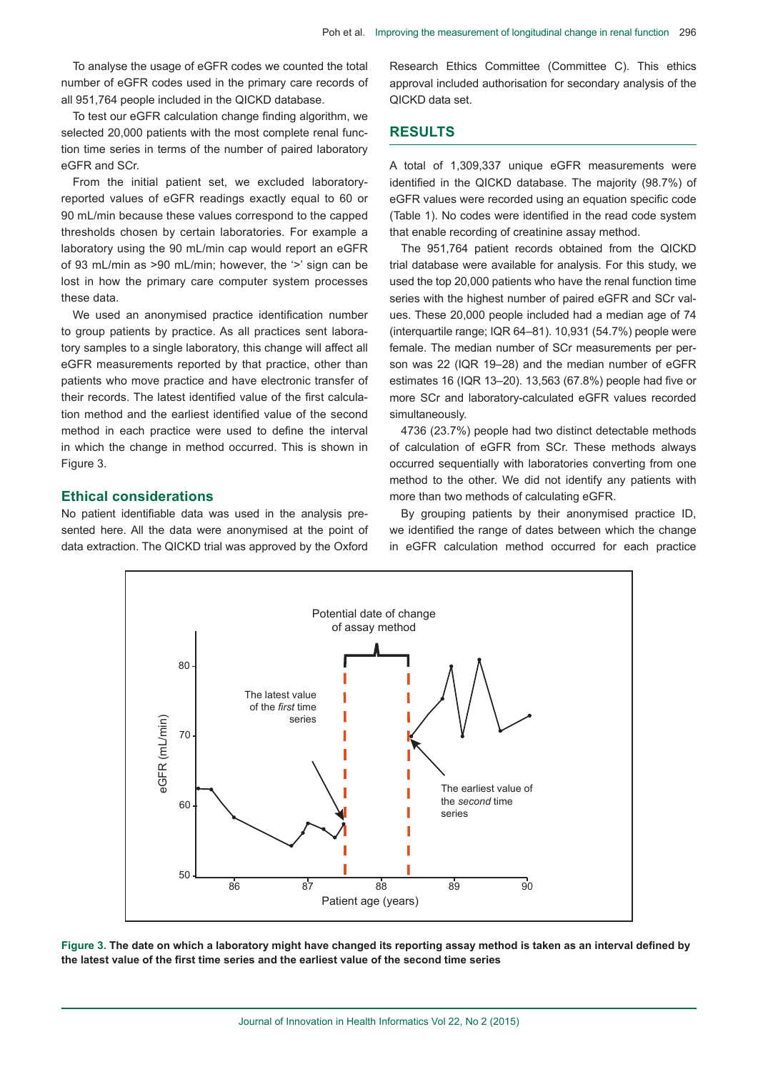To analyse the usage of eGFR codes we counted the total number of eGFR codes used in the primary care records of all 951,764 people included in the QICKD database.

To test our eGFR calculation change finding algorithm, we selected 20,000 patients with the most complete renal function time series in terms of the number of paired laboratory eGFR and SCr.

From the initial patient set, we excluded laboratoryreported values of eGFR readings exactly equal to 60 or 90 ml/min because these values correspond to the capped thresholds chosen by certain laboratories. For example a laboratory using the 90 mL/min cap would report an eGFR of 93 ml/min as >90 ml/min; however, the '>' sign can be lost in how the primary care computer system processes these data.

We used an anonymised practice identification number to group patients by practice. As all practices sent laboratory samples to a single laboratory, this change will affect all eGFR measurements reported by that practice, other than patients who move practice and have electronic transfer of their records. The latest identified value of the first calculation method and the earliest identified value of the second method in each practice were used to define the interval in which the change in method occurred. This is shown in Figure 3.

### **Ethical considerations**

No patient identifiable data was used in the analysis presented here. All the data were anonymised at the point of data extraction. The QICKD trial was approved by the Oxford Research Ethics Committee (Committee C). This ethics approval included authorisation for secondary analysis of the QICKD data set.

## **RESULTS**

A total of 1,309,337 unique eGFR measurements were identified in the QICKD database. The majority (98.7%) of eGFR values were recorded using an equation specific code (Table 1). No codes were identified in the read code system that enable recording of creatinine assay method.

The 951,764 patient records obtained from the QICKD trial database were available for analysis. For this study, we used the top 20,000 patients who have the renal function time series with the highest number of paired eGFR and SCr values. These 20,000 people included had a median age of 74 (interquartile range; IQR 64–81). 10,931 (54.7%) people were female. The median number of SCr measurements per person was 22 (IQR 19–28) and the median number of eGFR estimates 16 (IQR 13–20). 13,563 (67.8%) people had five or more SCr and laboratory-calculated eGFR values recorded simultaneously.

4736 (23.7%) people had two distinct detectable methods of calculation of eGFR from SCr. These methods always occurred sequentially with laboratories converting from one method to the other. We did not identify any patients with more than two methods of calculating eGFR.

By grouping patients by their anonymised practice ID, we identified the range of dates between which the change in eGFR calculation method occurred for each practice



**Figure 3. The date on which a laboratory might have changed its reporting assay method is taken as an interval defined by the latest value of the first time series and the earliest value of the second time series**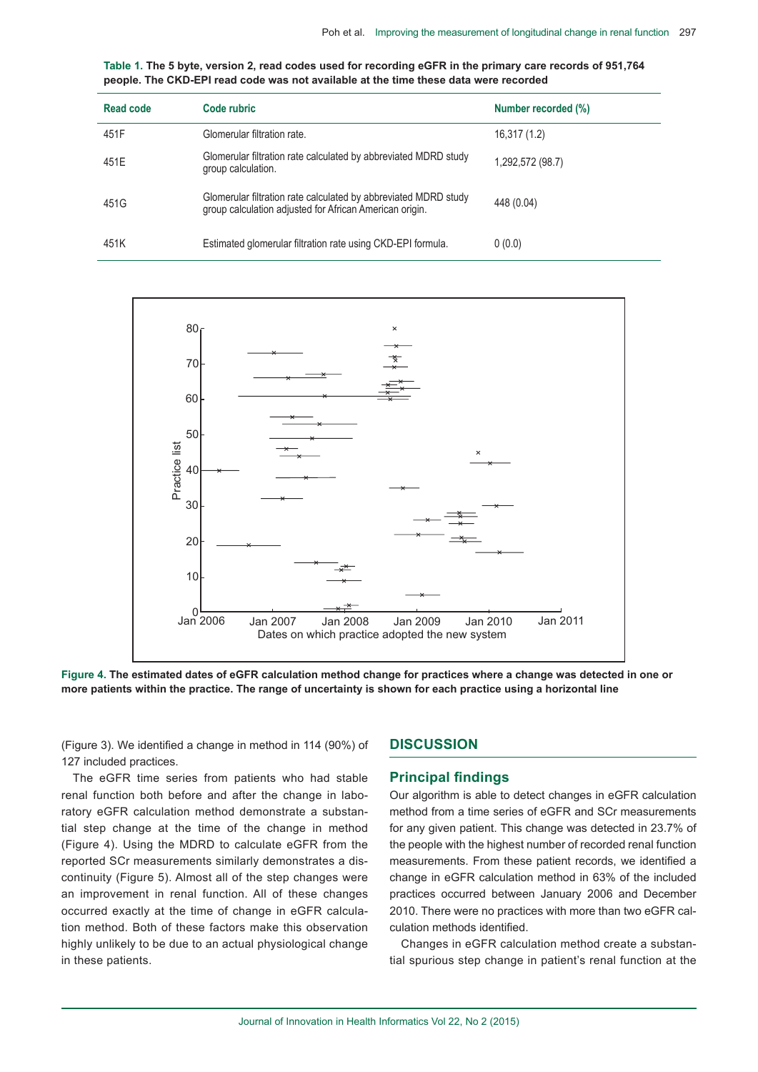| Table 1. The 5 byte, version 2, read codes used for recording eGFR in the primary care records of 951,764 |
|-----------------------------------------------------------------------------------------------------------|
| people. The CKD-EPI read code was not available at the time these data were recorded                      |

| Read code | Code rubric                                                                                                                | Number recorded (%) |
|-----------|----------------------------------------------------------------------------------------------------------------------------|---------------------|
| 451F      | Glomerular filtration rate.                                                                                                | 16,317 (1.2)        |
| 451E      | Glomerular filtration rate calculated by abbreviated MDRD study<br>group calculation.                                      | 1,292,572 (98.7)    |
| 451G      | Glomerular filtration rate calculated by abbreviated MDRD study<br>group calculation adjusted for African American origin. | 448 (0.04)          |
| 451K      | Estimated glomerular filtration rate using CKD-EPI formula.                                                                | 0(0.0)              |



**Figure 4. The estimated dates of eGFR calculation method change for practices where a change was detected in one or more patients within the practice. The range of uncertainty is shown for each practice using a horizontal line**

(Figure 3). We identified a change in method in 114 (90%) of 127 included practices.

The eGFR time series from patients who had stable renal function both before and after the change in laboratory eGFR calculation method demonstrate a substantial step change at the time of the change in method (Figure 4). Using the MDRD to calculate eGFR from the reported SCr measurements similarly demonstrates a discontinuity (Figure 5). Almost all of the step changes were an improvement in renal function. All of these changes occurred exactly at the time of change in eGFR calculation method. Both of these factors make this observation highly unlikely to be due to an actual physiological change in these patients.

## **DISCUSSION**

### **Principal findings**

Our algorithm is able to detect changes in eGFR calculation method from a time series of eGFR and SCr measurements for any given patient. This change was detected in 23.7% of the people with the highest number of recorded renal function measurements. From these patient records, we identified a change in eGFR calculation method in 63% of the included practices occurred between January 2006 and December 2010. There were no practices with more than two eGFR calculation methods identified.

Changes in eGFR calculation method create a substantial spurious step change in patient's renal function at the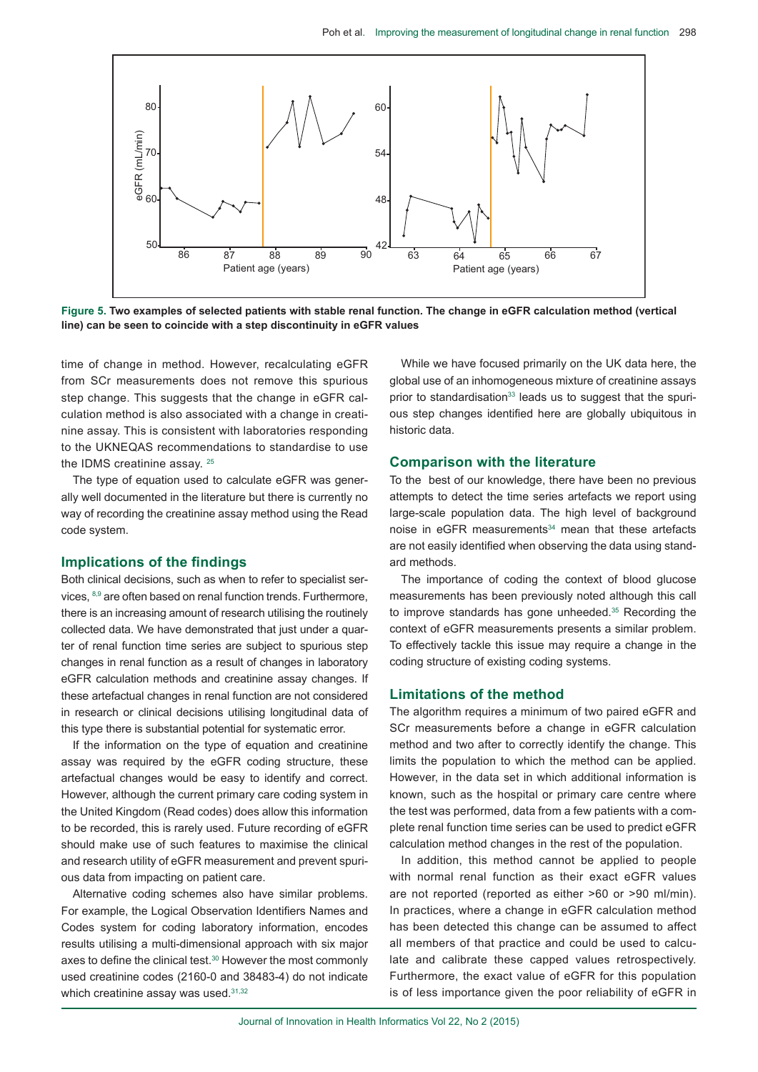

**Figure 5. Two examples of selected patients with stable renal function. The change in eGFR calculation method (vertical line) can be seen to coincide with a step discontinuity in eGFR values**

time of change in method. However, recalculating eGFR from SCr measurements does not remove this spurious step change. This suggests that the change in eGFR calculation method is also associated with a change in creatinine assay. This is consistent with laboratories responding to the UKNEQAS recommendations to standardise to use the IDMS creatinine assay. 25

The type of equation used to calculate eGFR was generally well documented in the literature but there is currently no way of recording the creatinine assay method using the Read code system.

### **Implications of the findings**

Both clinical decisions, such as when to refer to specialist services, 8,9 are often based on renal function trends. Furthermore, there is an increasing amount of research utilising the routinely collected data. We have demonstrated that just under a quarter of renal function time series are subject to spurious step changes in renal function as a result of changes in laboratory eGFR calculation methods and creatinine assay changes. If these artefactual changes in renal function are not considered in research or clinical decisions utilising longitudinal data of this type there is substantial potential for systematic error.

If the information on the type of equation and creatinine assay was required by the eGFR coding structure, these artefactual changes would be easy to identify and correct. However, although the current primary care coding system in the United Kingdom (Read codes) does allow this information to be recorded, this is rarely used. Future recording of eGFR should make use of such features to maximise the clinical and research utility of eGFR measurement and prevent spurious data from impacting on patient care.

Alternative coding schemes also have similar problems. For example, the Logical Observation Identifiers Names and Codes system for coding laboratory information, encodes results utilising a multi-dimensional approach with six major axes to define the clinical test.<sup>30</sup> However the most commonly used creatinine codes (2160-0 and 38483-4) do not indicate which creatinine assay was used.<sup>31,32</sup>

While we have focused primarily on the UK data here, the global use of an inhomogeneous mixture of creatinine assays prior to standardisation<sup>33</sup> leads us to suggest that the spurious step changes identified here are globally ubiquitous in historic data.

#### **Comparison with the literature**

To the best of our knowledge, there have been no previous attempts to detect the time series artefacts we report using large-scale population data. The high level of background noise in eGFR measurements<sup>34</sup> mean that these artefacts are not easily identified when observing the data using standard methods.

The importance of coding the context of blood glucose measurements has been previously noted although this call to improve standards has gone unheeded.<sup>35</sup> Recording the context of eGFR measurements presents a similar problem. To effectively tackle this issue may require a change in the coding structure of existing coding systems.

## **Limitations of the method**

The algorithm requires a minimum of two paired eGFR and SCr measurements before a change in eGFR calculation method and two after to correctly identify the change. This limits the population to which the method can be applied. However, in the data set in which additional information is known, such as the hospital or primary care centre where the test was performed, data from a few patients with a complete renal function time series can be used to predict eGFR calculation method changes in the rest of the population.

In addition, this method cannot be applied to people with normal renal function as their exact eGFR values are not reported (reported as either >60 or >90 ml/min). In practices, where a change in eGFR calculation method has been detected this change can be assumed to affect all members of that practice and could be used to calculate and calibrate these capped values retrospectively. Furthermore, the exact value of eGFR for this population is of less importance given the poor reliability of eGFR in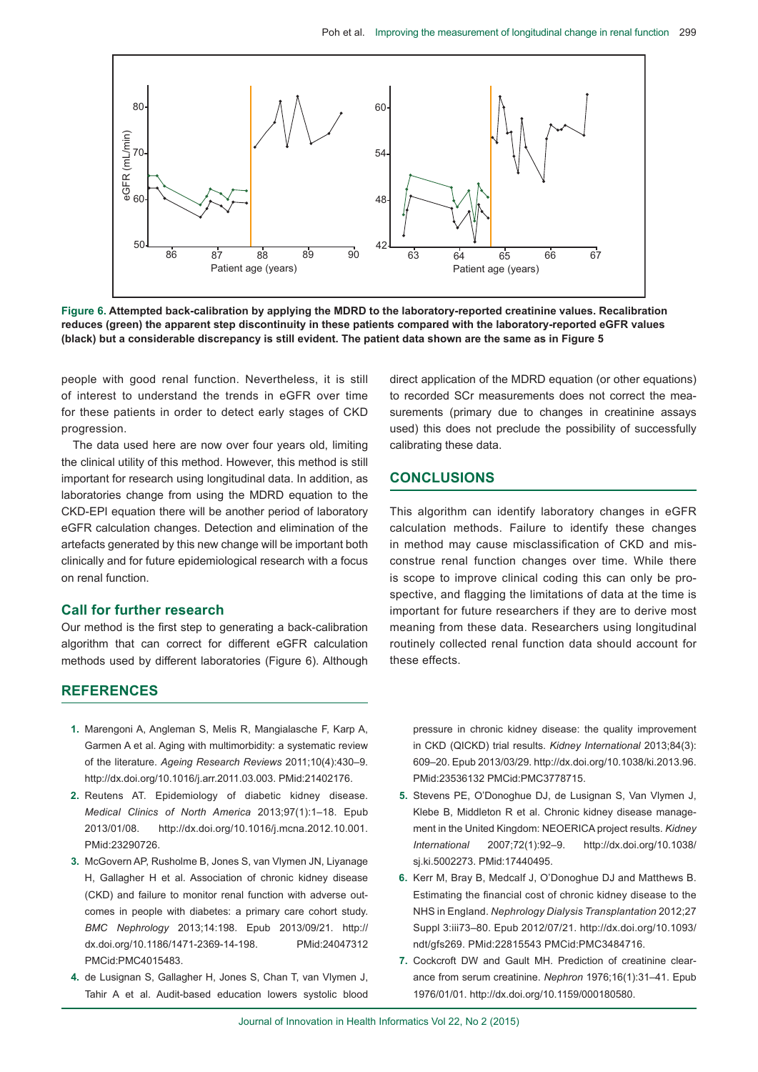

**Figure 6. Attempted back-calibration by applying the MDRD to the laboratory-reported creatinine values. Recalibration reduces (green) the apparent step discontinuity in these patients compared with the laboratory-reported eGFR values (black) but a considerable discrepancy is still evident. The patient data shown are the same as in Figure 5**

people with good renal function. Nevertheless, it is still of interest to understand the trends in eGFR over time for these patients in order to detect early stages of CKD progression.

The data used here are now over four years old, limiting the clinical utility of this method. However, this method is still important for research using longitudinal data. In addition, as laboratories change from using the MDRD equation to the CKD-EPI equation there will be another period of laboratory eGFR calculation changes. Detection and elimination of the artefacts generated by this new change will be important both clinically and for future epidemiological research with a focus on renal function.

### **Call for further research**

Our method is the first step to generating a back-calibration algorithm that can correct for different eGFR calculation methods used by different laboratories (Figure 6). Although direct application of the MDRD equation (or other equations) to recorded SCr measurements does not correct the measurements (primary due to changes in creatinine assays used) this does not preclude the possibility of successfully calibrating these data.

## **CONCLUSIONS**

This algorithm can identify laboratory changes in eGFR calculation methods. Failure to identify these changes in method may cause misclassification of CKD and misconstrue renal function changes over time. While there is scope to improve clinical coding this can only be prospective, and flagging the limitations of data at the time is important for future researchers if they are to derive most meaning from these data. Researchers using longitudinal routinely collected renal function data should account for these effects.

## **REFERENCES**

- **1.** Marengoni A, Angleman S, Melis R, Mangialasche F, Karp A, Garmen A et al. Aging with multimorbidity: a systematic review of the literature. *Ageing Research Reviews* 2011;10(4):430–9. http://dx.doi.org/10.1016/j.arr.2011.03.003. PMid:21402176.
- **2.** Reutens AT. Epidemiology of diabetic kidney disease. *Medical Clinics of North America* 2013;97(1):1–18. Epub 2013/01/08. http://dx.doi.org/10.1016/j.mcna.2012.10.001. PMid:23290726.
- **3.** McGovern AP, Rusholme B, Jones S, van Vlymen JN, Liyanage H, Gallagher H et al. Association of chronic kidney disease (CKD) and failure to monitor renal function with adverse outcomes in people with diabetes: a primary care cohort study. *BMC Nephrology* 2013;14:198. Epub 2013/09/21. http:// dx.doi.org/10.1186/1471-2369-14-198. PMid:24047312 PMCid:PMC4015483.
- **4.** de Lusignan S, Gallagher H, Jones S, Chan T, van Vlymen J, Tahir A et al. Audit-based education lowers systolic blood

pressure in chronic kidney disease: the quality improvement in CKD (QICKD) trial results. *Kidney International* 2013;84(3): 609–20. Epub 2013/03/29. http://dx.doi.org/10.1038/ki.2013.96. PMid:23536132 PMCid:PMC3778715.

- **5.** Stevens PE, O'Donoghue DJ, de Lusignan S, Van Vlymen J, Klebe B, Middleton R et al. Chronic kidney disease management in the United Kingdom: NEOERICA project results. *Kidney International* 2007;72(1):92–9. http://dx.doi.org/10.1038/ sj.ki.5002273. PMid:17440495.
- **6.** Kerr M, Bray B, Medcalf J, O'Donoghue DJ and Matthews B. Estimating the financial cost of chronic kidney disease to the NHS in England. *Nephrology Dialysis Transplantation* 2012;27 Suppl 3:iii73–80. Epub 2012/07/21. http://dx.doi.org/10.1093/ ndt/gfs269. PMid:22815543 PMCid:PMC3484716.
- **7.** Cockcroft DW and Gault MH. Prediction of creatinine clearance from serum creatinine. *Nephron* 1976;16(1):31–41. Epub 1976/01/01. http://dx.doi.org/10.1159/000180580.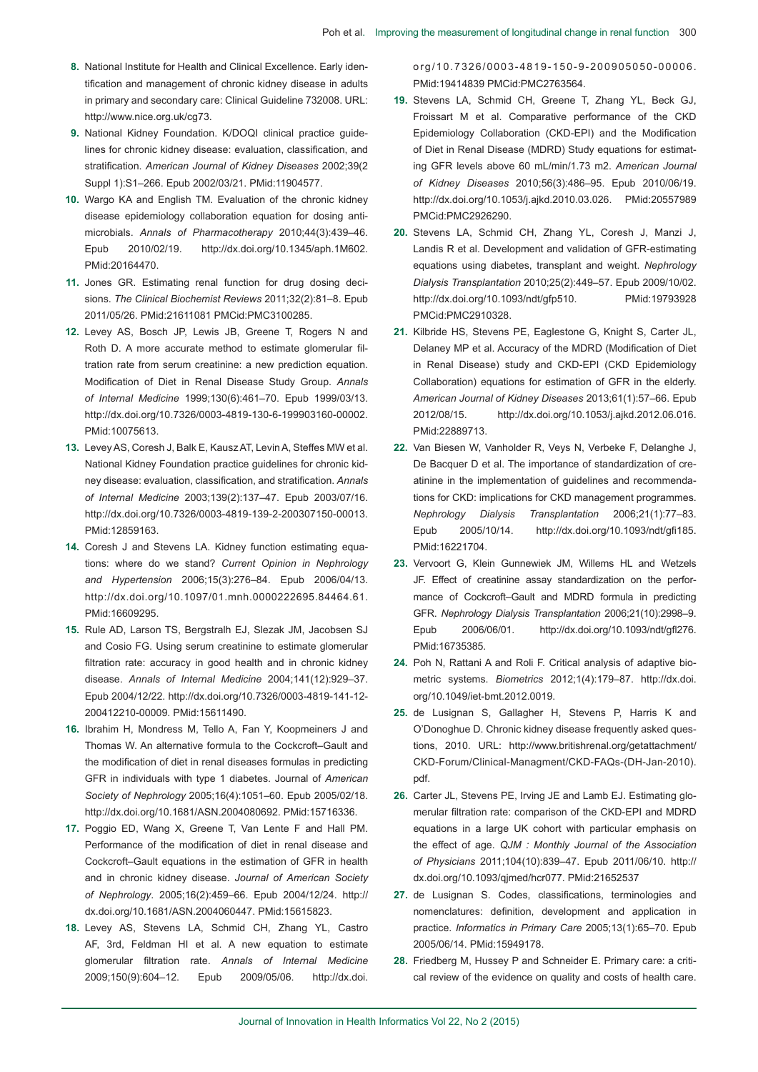- **8.** National Institute for Health and Clinical Excellence. Early identification and management of chronic kidney disease in adults in primary and secondary care: Clinical Guideline 732008. URL: http://www.nice.org.uk/cg73.
- **9.** National Kidney Foundation. K/DOQI clinical practice guidelines for chronic kidney disease: evaluation, classification, and stratification. *American Journal of Kidney Diseases* 2002;39(2 Suppl 1):S1–266. Epub 2002/03/21. PMid:11904577.
- **10.** Wargo KA and English TM. Evaluation of the chronic kidney disease epidemiology collaboration equation for dosing antimicrobials. *Annals of Pharmacotherapy* 2010;44(3):439–46. Epub 2010/02/19. http://dx.doi.org/10.1345/aph.1M602. PMid:20164470.
- **11.** Jones GR. Estimating renal function for drug dosing decisions. *The Clinical Biochemist Reviews* 2011;32(2):81–8. Epub 2011/05/26. PMid:21611081 PMCid:PMC3100285.
- **12.** Levey AS, Bosch JP, Lewis JB, Greene T, Rogers N and Roth D. A more accurate method to estimate glomerular filtration rate from serum creatinine: a new prediction equation. Modification of Diet in Renal Disease Study Group. *Annals of Internal Medicine* 1999;130(6):461–70. Epub 1999/03/13. http://dx.doi.org/10.7326/0003-4819-130-6-199903160-00002. PMid:10075613.
- **13.** LeveyAS, Coresh J, Balk E, KauszAT, LevinA, Steffes MW et al. National Kidney Foundation practice guidelines for chronic kidney disease: evaluation, classification, and stratification. *Annals of Internal Medicine* 2003;139(2):137–47. Epub 2003/07/16. http://dx.doi.org/10.7326/0003-4819-139-2-200307150-00013. PMid:12859163.
- **14.** Coresh J and Stevens LA. Kidney function estimating equations: where do we stand? *Current Opinion in Nephrology and Hypertension* 2006;15(3):276–84. Epub 2006/04/13. http://dx.doi.org/10.1097/01.mnh.0000222695.84464.61. PMid:16609295.
- **15.** Rule AD, Larson TS, Bergstralh EJ, Slezak JM, Jacobsen SJ and Cosio FG. Using serum creatinine to estimate glomerular filtration rate: accuracy in good health and in chronic kidney disease. *Annals of Internal Medicine* 2004;141(12):929–37. Epub 2004/12/22. http://dx.doi.org/10.7326/0003-4819-141-12- 200412210-00009. PMid:15611490.
- **16.** Ibrahim H, Mondress M, Tello A, Fan Y, Koopmeiners J and Thomas W. An alternative formula to the Cockcroft–Gault and the modification of diet in renal diseases formulas in predicting GFR in individuals with type 1 diabetes. Journal of *American Society of Nephrology* 2005;16(4):1051–60. Epub 2005/02/18. http://dx.doi.org/10.1681/ASN.2004080692. PMid:15716336.
- **17.** Poggio ED, Wang X, Greene T, Van Lente F and Hall PM. Performance of the modification of diet in renal disease and Cockcroft–Gault equations in the estimation of GFR in health and in chronic kidney disease. *Journal of American Society of Nephrology*. 2005;16(2):459–66. Epub 2004/12/24. http:// dx.doi.org/10.1681/ASN.2004060447. PMid:15615823.
- **18.** Levey AS, Stevens LA, Schmid CH, Zhang YL, Castro AF, 3rd, Feldman HI et al. A new equation to estimate glomerular filtration rate. *Annals of Internal Medicine* 2009;150(9):604–12. Epub 2009/05/06. http://dx.doi.

org/10.7326/0003-4819-150-9-200905050-00006. PMid:19414839 PMCid:PMC2763564.

- **19.** Stevens LA, Schmid CH, Greene T, Zhang YL, Beck GJ, Froissart M et al. Comparative performance of the CKD Epidemiology Collaboration (CKD-EPI) and the Modification of Diet in Renal Disease (MDRD) Study equations for estimating GFR levels above 60 mL/min/1.73 m2. *American Journal of Kidney Diseases* 2010;56(3):486–95. Epub 2010/06/19. http://dx.doi.org/10.1053/j.ajkd.2010.03.026. PMid:20557989 PMCid:PMC2926290.
- **20.** Stevens LA, Schmid CH, Zhang YL, Coresh J, Manzi J, Landis R et al. Development and validation of GFR-estimating equations using diabetes, transplant and weight. *Nephrology Dialysis Transplantation* 2010;25(2):449–57. Epub 2009/10/02. http://dx.doi.org/10.1093/ndt/gfp510. PMid:19793928 PMCid:PMC2910328.
- **21.** Kilbride HS, Stevens PE, Eaglestone G, Knight S, Carter JL, Delaney MP et al. Accuracy of the MDRD (Modification of Diet in Renal Disease) study and CKD-EPI (CKD Epidemiology Collaboration) equations for estimation of GFR in the elderly. *American Journal of Kidney Diseases* 2013;61(1):57–66. Epub 2012/08/15. http://dx.doi.org/10.1053/j.ajkd.2012.06.016. PMid:22889713.
- **22.** Van Biesen W, Vanholder R, Veys N, Verbeke F, Delanghe J, De Bacquer D et al. The importance of standardization of creatinine in the implementation of guidelines and recommendations for CKD: implications for CKD management programmes. *Nephrology Dialysis Transplantation* 2006;21(1):77–83. Epub 2005/10/14. http://dx.doi.org/10.1093/ndt/gfi185. PMid:16221704.
- **23.** Vervoort G, Klein Gunnewiek JM, Willems HL and Wetzels JF. Effect of creatinine assay standardization on the performance of Cockcroft–Gault and MDRD formula in predicting GFR. *Nephrology Dialysis Transplantation* 2006;21(10):2998–9. Epub 2006/06/01. http://dx.doi.org/10.1093/ndt/gfl276. PMid:16735385.
- **24.** Poh N, Rattani A and Roli F. Critical analysis of adaptive biometric systems. *Biometrics* 2012;1(4):179–87. http://dx.doi. org/10.1049/iet-bmt.2012.0019.
- **25.** de Lusignan S, Gallagher H, Stevens P, Harris K and O'Donoghue D. Chronic kidney disease frequently asked questions, 2010. URL: http://www.britishrenal.org/getattachment/ CKD-Forum/Clinical-Managment/CKD-FAQs-(DH-Jan-2010). pdf.
- **26.** Carter JL, Stevens PE, Irving JE and Lamb EJ. Estimating glomerular filtration rate: comparison of the CKD-EPI and MDRD equations in a large UK cohort with particular emphasis on the effect of age. *QJM : Monthly Journal of the Association of Physicians* 2011;104(10):839–47. Epub 2011/06/10. http:// dx.doi.org/10.1093/qjmed/hcr077. PMid:21652537
- **27.** de Lusignan S. Codes, classifications, terminologies and nomenclatures: definition, development and application in practice. *Informatics in Primary Care* 2005;13(1):65–70. Epub 2005/06/14. PMid:15949178.
- **28.** Friedberg M, Hussey P and Schneider E. Primary care: a critical review of the evidence on quality and costs of health care.